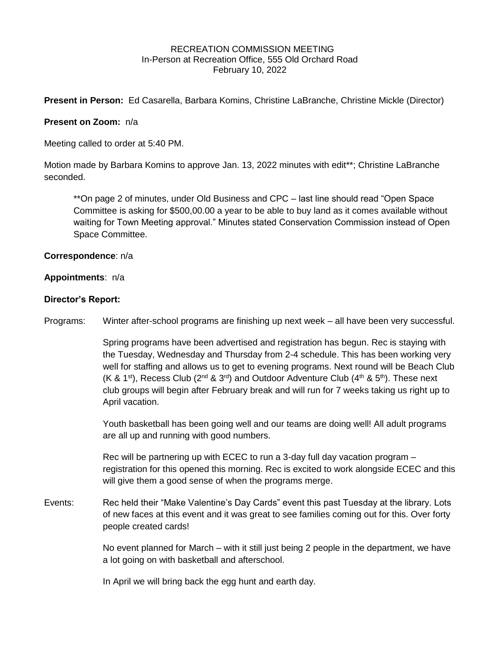#### RECREATION COMMISSION MEETING In-Person at Recreation Office, 555 Old Orchard Road February 10, 2022

**Present in Person:** Ed Casarella, Barbara Komins, Christine LaBranche, Christine Mickle (Director)

## **Present on Zoom:** n/a

Meeting called to order at 5:40 PM.

Motion made by Barbara Komins to approve Jan. 13, 2022 minutes with edit\*\*; Christine LaBranche seconded.

\*\*On page 2 of minutes, under Old Business and CPC – last line should read "Open Space Committee is asking for \$500,00.00 a year to be able to buy land as it comes available without waiting for Town Meeting approval." Minutes stated Conservation Commission instead of Open Space Committee.

## **Correspondence**: n/a

### **Appointments**: n/a

### **Director's Report:**

Programs: Winter after-school programs are finishing up next week – all have been very successful.

Spring programs have been advertised and registration has begun. Rec is staying with the Tuesday, Wednesday and Thursday from 2-4 schedule. This has been working very well for staffing and allows us to get to evening programs. Next round will be Beach Club (K & 1<sup>st</sup>), Recess Club (2<sup>nd</sup> & 3<sup>rd</sup>) and Outdoor Adventure Club (4<sup>th</sup> & 5<sup>th</sup>). These next club groups will begin after February break and will run for 7 weeks taking us right up to April vacation.

Youth basketball has been going well and our teams are doing well! All adult programs are all up and running with good numbers.

Rec will be partnering up with ECEC to run a 3-day full day vacation program – registration for this opened this morning. Rec is excited to work alongside ECEC and this will give them a good sense of when the programs merge.

Events: Rec held their "Make Valentine's Day Cards" event this past Tuesday at the library. Lots of new faces at this event and it was great to see families coming out for this. Over forty people created cards!

> No event planned for March – with it still just being 2 people in the department, we have a lot going on with basketball and afterschool.

In April we will bring back the egg hunt and earth day.